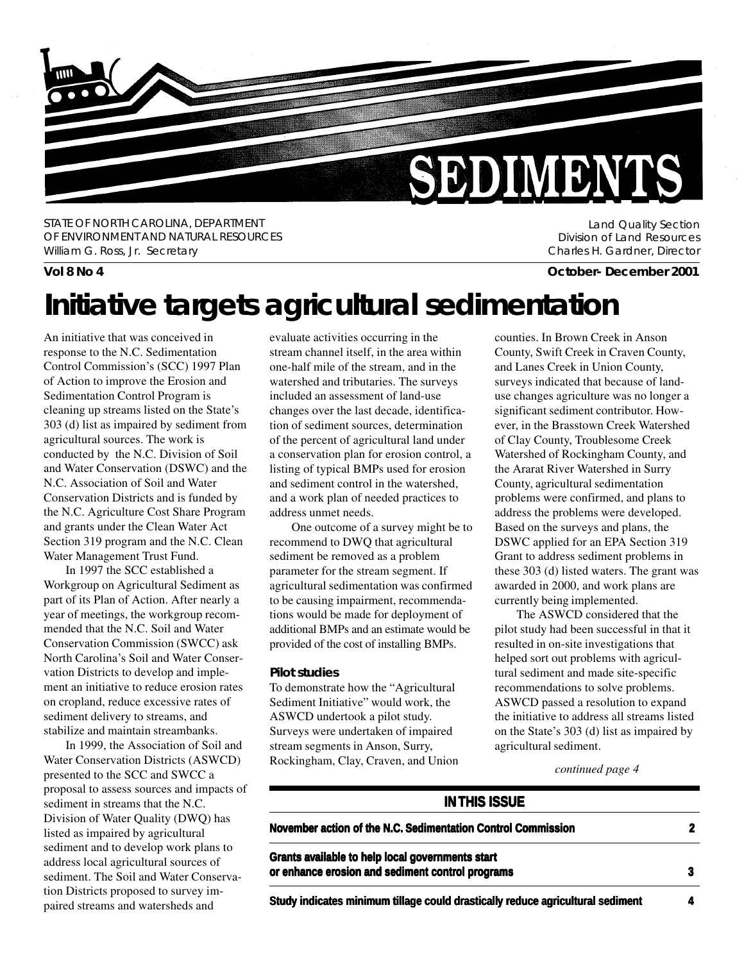

STATE OF NORTH CAROLINA, DEPARTMENT OF ENVIRONMENT AND NATURAL RESOURCES William G. Ross, Jr. Secretary

Land Quality Section Division of Land Resources Charles H. Gardner, Director

### **Vol 8 No 4 October- December 2001**

# **Initiative targets agricultural sedimentation**

An initiative that was conceived in response to the N.C. Sedimentation Control Commission's (SCC) 1997 Plan of Action to improve the Erosion and Sedimentation Control Program is cleaning up streams listed on the State's 303 (d) list as impaired by sediment from agricultural sources. The work is conducted by the N.C. Division of Soil and Water Conservation (DSWC) and the N.C. Association of Soil and Water Conservation Districts and is funded by the N.C. Agriculture Cost Share Program and grants under the Clean Water Act Section 319 program and the N.C. Clean Water Management Trust Fund.

In 1997 the SCC established a Workgroup on Agricultural Sediment as part of its Plan of Action. After nearly a year of meetings, the workgroup recommended that the N.C. Soil and Water Conservation Commission (SWCC) ask North Carolina's Soil and Water Conservation Districts to develop and implement an initiative to reduce erosion rates on cropland, reduce excessive rates of sediment delivery to streams, and stabilize and maintain streambanks.

In 1999, the Association of Soil and Water Conservation Districts (ASWCD) presented to the SCC and SWCC a proposal to assess sources and impacts of sediment in streams that the N.C. Division of Water Quality (DWQ) has listed as impaired by agricultural sediment and to develop work plans to address local agricultural sources of sediment. The Soil and Water Conservation Districts proposed to survey impaired streams and watersheds and

evaluate activities occurring in the stream channel itself, in the area within one-half mile of the stream, and in the watershed and tributaries. The surveys included an assessment of land-use changes over the last decade, identification of sediment sources, determination of the percent of agricultural land under a conservation plan for erosion control, a listing of typical BMPs used for erosion and sediment control in the watershed, and a work plan of needed practices to address unmet needs.

One outcome of a survey might be to recommend to DWQ that agricultural sediment be removed as a problem parameter for the stream segment. If agricultural sedimentation was confirmed to be causing impairment, recommendations would be made for deployment of additional BMPs and an estimate would be provided of the cost of installing BMPs.

#### **Pilot studies**

To demonstrate how the "Agricultural Sediment Initiative" would work, the ASWCD undertook a pilot study. Surveys were undertaken of impaired stream segments in Anson, Surry, Rockingham, Clay, Craven, and Union counties. In Brown Creek in Anson County, Swift Creek in Craven County, and Lanes Creek in Union County, surveys indicated that because of landuse changes agriculture was no longer a significant sediment contributor. However, in the Brasstown Creek Watershed of Clay County, Troublesome Creek Watershed of Rockingham County, and the Ararat River Watershed in Surry County, agricultural sedimentation problems were confirmed, and plans to address the problems were developed. Based on the surveys and plans, the DSWC applied for an EPA Section 319 Grant to address sediment problems in these 303 (d) listed waters. The grant was awarded in 2000, and work plans are currently being implemented.

The ASWCD considered that the pilot study had been successful in that it resulted in on-site investigations that helped sort out problems with agricultural sediment and made site-specific recommendations to solve problems. ASWCD passed a resolution to expand the initiative to address all streams listed on the State's 303 (d) list as impaired by agricultural sediment.

*continued page 4*

#### **IN THIS ISSUE**

| November action of the N.C. Sedimentation Control Commission                                         |  |
|------------------------------------------------------------------------------------------------------|--|
| Grants available to help local governments start<br>or enhance erosion and sediment control programs |  |
|                                                                                                      |  |

**Study indicates minimum tillage could drastically reduce agricultural sediment**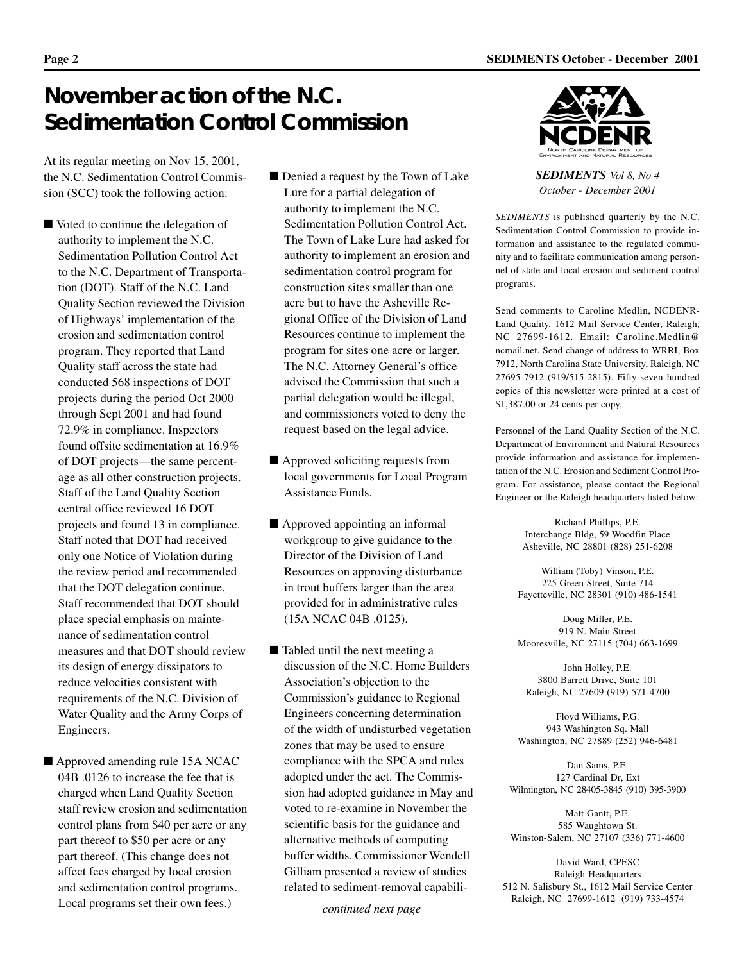# **November action of the N.C. Sedimentation Control Commission**

At its regular meeting on Nov 15, 2001, the N.C. Sedimentation Control Commission (SCC) took the following action:

■ Voted to continue the delegation of authority to implement the N.C. Sedimentation Pollution Control Act to the N.C. Department of Transportation (DOT). Staff of the N.C. Land Quality Section reviewed the Division of Highways' implementation of the erosion and sedimentation control program. They reported that Land Quality staff across the state had conducted 568 inspections of DOT projects during the period Oct 2000 through Sept 2001 and had found 72.9% in compliance. Inspectors found offsite sedimentation at 16.9% of DOT projects—the same percentage as all other construction projects. Staff of the Land Quality Section central office reviewed 16 DOT projects and found 13 in compliance. Staff noted that DOT had received only one Notice of Violation during the review period and recommended that the DOT delegation continue. Staff recommended that DOT should place special emphasis on maintenance of sedimentation control measures and that DOT should review its design of energy dissipators to reduce velocities consistent with requirements of the N.C. Division of Water Quality and the Army Corps of Engineers.

■ Approved amending rule 15A NCAC 04B .0126 to increase the fee that is charged when Land Quality Section staff review erosion and sedimentation control plans from \$40 per acre or any part thereof to \$50 per acre or any part thereof. (This change does not affect fees charged by local erosion and sedimentation control programs. Local programs set their own fees.)

- Denied a request by the Town of Lake Lure for a partial delegation of authority to implement the N.C. Sedimentation Pollution Control Act. The Town of Lake Lure had asked for authority to implement an erosion and sedimentation control program for construction sites smaller than one acre but to have the Asheville Regional Office of the Division of Land Resources continue to implement the program for sites one acre or larger. The N.C. Attorney General's office advised the Commission that such a partial delegation would be illegal, and commissioners voted to deny the request based on the legal advice.
- Approved soliciting requests from local governments for Local Program Assistance Funds.
- Approved appointing an informal workgroup to give guidance to the Director of the Division of Land Resources on approving disturbance in trout buffers larger than the area provided for in administrative rules (15A NCAC 04B .0125).
- Tabled until the next meeting a discussion of the N.C. Home Builders Association's objection to the Commission's guidance to Regional Engineers concerning determination of the width of undisturbed vegetation zones that may be used to ensure compliance with the SPCA and rules adopted under the act. The Commission had adopted guidance in May and voted to re-examine in November the scientific basis for the guidance and alternative methods of computing buffer widths. Commissioner Wendell Gilliam presented a review of studies related to sediment-removal capabili-

*continued next page*



*SEDIMENTS Vol 8, No 4 October - December 2001*

*SEDIMENTS* is published quarterly by the N.C. Sedimentation Control Commission to provide information and assistance to the regulated community and to facilitate communication among personnel of state and local erosion and sediment control programs.

Send comments to Caroline Medlin, NCDENR-Land Quality, 1612 Mail Service Center, Raleigh, NC 27699-1612. Email: Caroline.Medlin@ ncmail.net. Send change of address to WRRI, Box 7912, North Carolina State University, Raleigh, NC 27695-7912 (919/515-2815). Fifty-seven hundred copies of this newsletter were printed at a cost of \$1,387.00 or 24 cents per copy.

Personnel of the Land Quality Section of the N.C. Department of Environment and Natural Resources provide information and assistance for implementation of the N.C. Erosion and Sediment Control Program. For assistance, please contact the Regional Engineer or the Raleigh headquarters listed below:

> Richard Phillips, P.E. Interchange Bldg, 59 Woodfin Place Asheville, NC 28801 (828) 251-6208

William (Toby) Vinson, P.E. 225 Green Street, Suite 714 Fayetteville, NC 28301 (910) 486-1541

Doug Miller, P.E. 919 N. Main Street Mooresville, NC 27115 (704) 663-1699

John Holley, P.E. 3800 Barrett Drive, Suite 101 Raleigh, NC 27609 (919) 571-4700

Floyd Williams, P.G. 943 Washington Sq. Mall Washington, NC 27889 (252) 946-6481

Dan Sams, P.E. 127 Cardinal Dr, Ext Wilmington, NC 28405-3845 (910) 395-3900

Matt Gantt, P.E. 585 Waughtown St. Winston-Salem, NC 27107 (336) 771-4600

David Ward, CPESC Raleigh Headquarters 512 N. Salisbury St., 1612 Mail Service Center Raleigh, NC 27699-1612 (919) 733-4574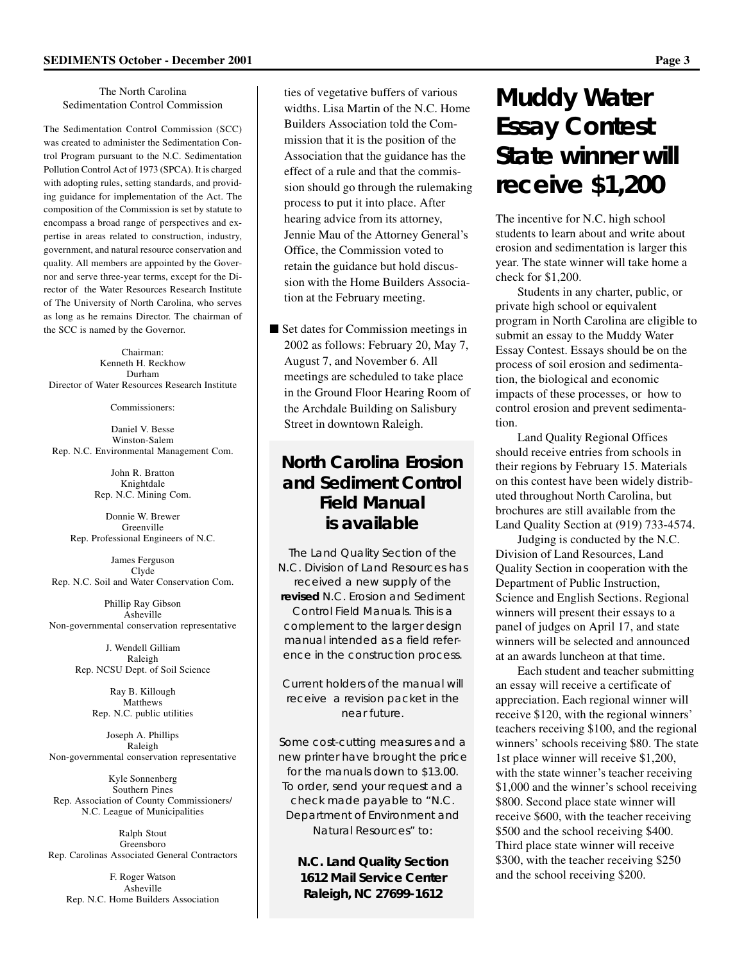The North Carolina Sedimentation Control Commission

The Sedimentation Control Commission (SCC) was created to administer the Sedimentation Control Program pursuant to the N.C. Sedimentation Pollution Control Act of 1973 (SPCA). It is charged with adopting rules, setting standards, and providing guidance for implementation of the Act. The composition of the Commission is set by statute to encompass a broad range of perspectives and expertise in areas related to construction, industry, government, and natural resource conservation and quality. All members are appointed by the Governor and serve three-year terms, except for the Director of the Water Resources Research Institute of The University of North Carolina, who serves as long as he remains Director. The chairman of the SCC is named by the Governor.

Chairman: Kenneth H. Reckhow Durham Director of Water Resources Research Institute

Commissioners:

Daniel V. Besse Winston-Salem Rep. N.C. Environmental Management Com.

> John R. Bratton Knightdale Rep. N.C. Mining Com.

Donnie W. Brewer Greenville Rep. Professional Engineers of N.C.

James Ferguson Clyde Rep. N.C. Soil and Water Conservation Com.

Phillip Ray Gibson Asheville Non-governmental conservation representative

> J. Wendell Gilliam Raleigh Rep. NCSU Dept. of Soil Science

> > Ray B. Killough Matthews Rep. N.C. public utilities

Joseph A. Phillips Raleigh Non-governmental conservation representative

Kyle Sonnenberg Southern Pines Rep. Association of County Commissioners/ N.C. League of Municipalities

Ralph Stout Greensboro Rep. Carolinas Associated General Contractors

F. Roger Watson Asheville Rep. N.C. Home Builders Association

ties of vegetative buffers of various widths. Lisa Martin of the N.C. Home Builders Association told the Commission that it is the position of the Association that the guidance has the effect of a rule and that the commission should go through the rulemaking process to put it into place. After hearing advice from its attorney, Jennie Mau of the Attorney General's Office, the Commission voted to retain the guidance but hold discussion with the Home Builders Association at the February meeting.

■ Set dates for Commission meetings in 2002 as follows: February 20, May 7, August 7, and November 6. All meetings are scheduled to take place in the Ground Floor Hearing Room of the Archdale Building on Salisbury Street in downtown Raleigh.

## **North Carolina Erosion and Sediment Control Field Manual is available**

The Land Quality Section of the N.C. Division of Land Resources has received a new supply of the **revised** N.C. Erosion and Sediment Control Field Manuals. This is a complement to the larger design manual intended as a field reference in the construction process.

Current holders of the manual will receive a revision packet in the near future.

Some cost-cutting measures and a new printer have brought the price for the manuals down to \$13.00. To order, send your request and a check made payable to "N.C. Department of Environment and Natural Resources" to:

> **N.C. Land Quality Section 1612 Mail Service Center Raleigh, NC 27699-1612**

# **Muddy Water Essay Contest State winner will receive \$1,200**

The incentive for N.C. high school students to learn about and write about erosion and sedimentation is larger this year. The state winner will take home a check for \$1,200.

Students in any charter, public, or private high school or equivalent program in North Carolina are eligible to submit an essay to the Muddy Water Essay Contest. Essays should be on the process of soil erosion and sedimentation, the biological and economic impacts of these processes, or how to control erosion and prevent sedimentation.

Land Quality Regional Offices should receive entries from schools in their regions by February 15. Materials on this contest have been widely distributed throughout North Carolina, but brochures are still available from the Land Quality Section at (919) 733-4574.

Judging is conducted by the N.C. Division of Land Resources, Land Quality Section in cooperation with the Department of Public Instruction, Science and English Sections. Regional winners will present their essays to a panel of judges on April 17, and state winners will be selected and announced at an awards luncheon at that time.

Each student and teacher submitting an essay will receive a certificate of appreciation. Each regional winner will receive \$120, with the regional winners' teachers receiving \$100, and the regional winners' schools receiving \$80. The state 1st place winner will receive \$1,200, with the state winner's teacher receiving \$1,000 and the winner's school receiving \$800. Second place state winner will receive \$600, with the teacher receiving \$500 and the school receiving \$400. Third place state winner will receive \$300, with the teacher receiving \$250 and the school receiving \$200.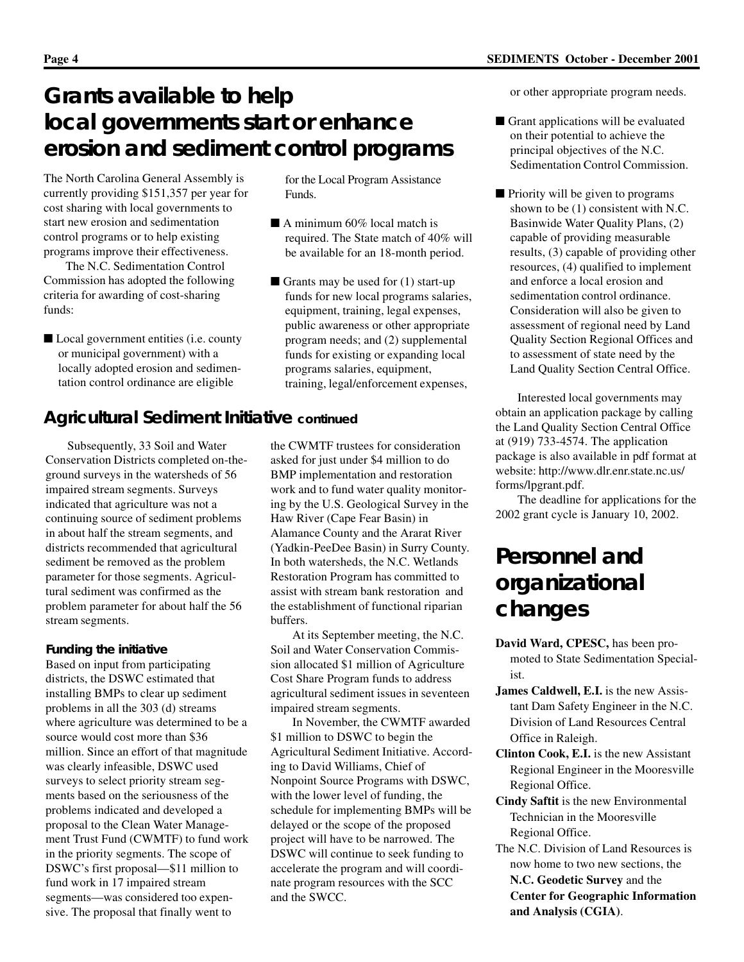# **Grants available to help local governments start or enhance erosion and sediment control programs**

The North Carolina General Assembly is currently providing \$151,357 per year for cost sharing with local governments to start new erosion and sedimentation control programs or to help existing programs improve their effectiveness.

The N.C. Sedimentation Control Commission has adopted the following criteria for awarding of cost-sharing funds:

■ Local government entities (i.e. county or municipal government) with a locally adopted erosion and sedimentation control ordinance are eligible

Funds. ■ A minimum 60% local match is

for the Local Program Assistance

- required. The State match of 40% will be available for an 18-month period.
- Grants may be used for (1) start-up funds for new local programs salaries, equipment, training, legal expenses, public awareness or other appropriate program needs; and (2) supplemental funds for existing or expanding local programs salaries, equipment, training, legal/enforcement expenses,

### **Agricultural Sediment Initiative** *continued*

Subsequently, 33 Soil and Water Conservation Districts completed on-theground surveys in the watersheds of 56 impaired stream segments. Surveys indicated that agriculture was not a continuing source of sediment problems in about half the stream segments, and districts recommended that agricultural sediment be removed as the problem parameter for those segments. Agricultural sediment was confirmed as the problem parameter for about half the 56 stream segments.

#### **Funding the initiative**

Based on input from participating districts, the DSWC estimated that installing BMPs to clear up sediment problems in all the 303 (d) streams where agriculture was determined to be a source would cost more than \$36 million. Since an effort of that magnitude was clearly infeasible, DSWC used surveys to select priority stream segments based on the seriousness of the problems indicated and developed a proposal to the Clean Water Management Trust Fund (CWMTF) to fund work in the priority segments. The scope of DSWC's first proposal—\$11 million to fund work in 17 impaired stream segments—was considered too expensive. The proposal that finally went to

the CWMTF trustees for consideration asked for just under \$4 million to do BMP implementation and restoration work and to fund water quality monitoring by the U.S. Geological Survey in the Haw River (Cape Fear Basin) in Alamance County and the Ararat River (Yadkin-PeeDee Basin) in Surry County. In both watersheds, the N.C. Wetlands Restoration Program has committed to assist with stream bank restoration and the establishment of functional riparian buffers.

At its September meeting, the N.C. Soil and Water Conservation Commission allocated \$1 million of Agriculture Cost Share Program funds to address agricultural sediment issues in seventeen impaired stream segments.

In November, the CWMTF awarded \$1 million to DSWC to begin the Agricultural Sediment Initiative. According to David Williams, Chief of Nonpoint Source Programs with DSWC, with the lower level of funding, the schedule for implementing BMPs will be delayed or the scope of the proposed project will have to be narrowed. The DSWC will continue to seek funding to accelerate the program and will coordinate program resources with the SCC and the SWCC.

or other appropriate program needs.

- Grant applications will be evaluated on their potential to achieve the principal objectives of the N.C. Sedimentation Control Commission.
- Priority will be given to programs shown to be (1) consistent with N.C. Basinwide Water Quality Plans, (2) capable of providing measurable results, (3) capable of providing other resources, (4) qualified to implement and enforce a local erosion and sedimentation control ordinance. Consideration will also be given to assessment of regional need by Land Quality Section Regional Offices and to assessment of state need by the Land Quality Section Central Office.

Interested local governments may obtain an application package by calling the Land Quality Section Central Office at (919) 733-4574. The application package is also available in pdf format at website: http://www.dlr.enr.state.nc.us/ forms/lpgrant.pdf.

The deadline for applications for the 2002 grant cycle is January 10, 2002.

# **Personnel and organizational changes**

- **David Ward, CPESC,** has been promoted to State Sedimentation Specialist.
- **James Caldwell, E.I.** is the new Assistant Dam Safety Engineer in the N.C. Division of Land Resources Central Office in Raleigh.
- **Clinton Cook, E.I.** is the new Assistant Regional Engineer in the Mooresville Regional Office.
- **Cindy Saftit** is the new Environmental Technician in the Mooresville Regional Office.
- The N.C. Division of Land Resources is now home to two new sections, the **N.C. Geodetic Survey** and the **Center for Geographic Information and Analysis (CGIA)**.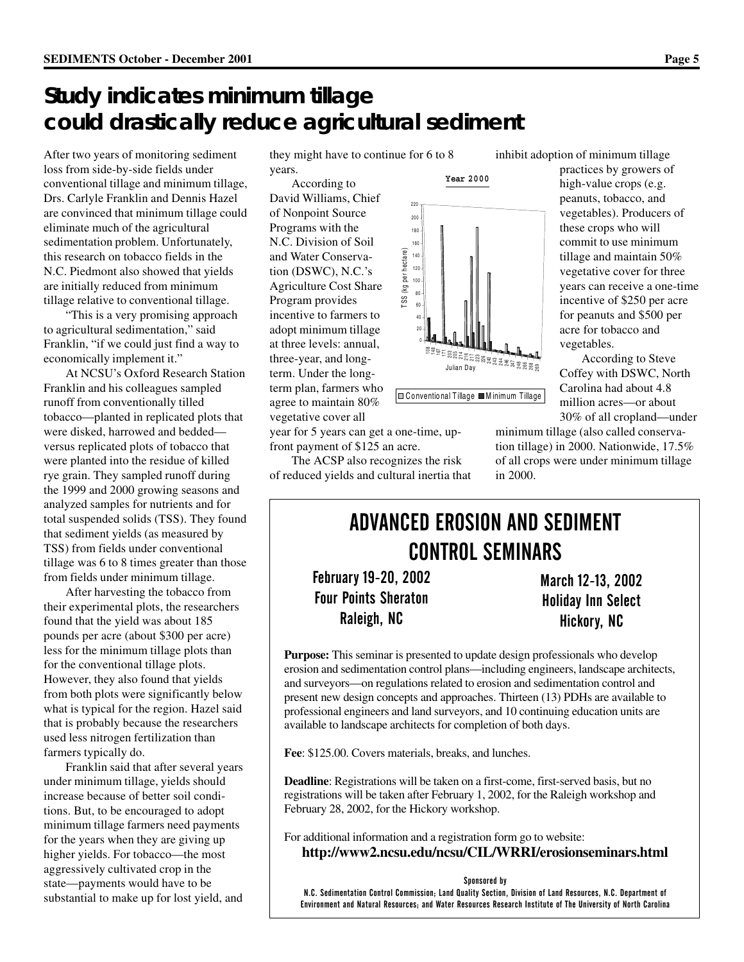# **Study indicates minimum tillage could drastically reduce agricultural sediment**

After two years of monitoring sediment loss from side-by-side fields under conventional tillage and minimum tillage, Drs. Carlyle Franklin and Dennis Hazel are convinced that minimum tillage could eliminate much of the agricultural sedimentation problem. Unfortunately, this research on tobacco fields in the N.C. Piedmont also showed that yields are initially reduced from minimum tillage relative to conventional tillage.

"This is a very promising approach to agricultural sedimentation," said Franklin, "if we could just find a way to economically implement it."

At NCSU's Oxford Research Station Franklin and his colleagues sampled runoff from conventionally tilled tobacco—planted in replicated plots that were disked, harrowed and bedded versus replicated plots of tobacco that were planted into the residue of killed rye grain. They sampled runoff during the 1999 and 2000 growing seasons and analyzed samples for nutrients and for total suspended solids (TSS). They found that sediment yields (as measured by TSS) from fields under conventional tillage was 6 to 8 times greater than those from fields under minimum tillage.

After harvesting the tobacco from their experimental plots, the researchers found that the yield was about 185 pounds per acre (about \$300 per acre) less for the minimum tillage plots than for the conventional tillage plots. However, they also found that yields from both plots were significantly below what is typical for the region. Hazel said that is probably because the researchers used less nitrogen fertilization than farmers typically do.

Franklin said that after several years under minimum tillage, yields should increase because of better soil conditions. But, to be encouraged to adopt minimum tillage farmers need payments for the years when they are giving up higher yields. For tobacco—the most aggressively cultivated crop in the state—payments would have to be substantial to make up for lost yield, and

they might have to continue for 6 to 8 years.

According to David Williams, Chief of Nonpoint Source Programs with the N.C. Division of Soil and Water Conservation (DSWC), N.C.'s Agriculture Cost Share Program provides incentive to farmers to adopt minimum tillage at three levels: annual, three-year, and longterm. Under the longterm plan, farmers who agree to maintain 80% vegetative cover all

year for 5 years can get a one-time, upfront payment of \$125 an acre.

The ACSP also recognizes the risk of reduced yields and cultural inertia that

high-value crops (e.g. peanuts, tobacco, and vegetables). Producers of these crops who will commit to use minimum tillage and maintain 50%

inhibit adoption of minimum tillage

vegetative cover for three years can receive a one-time incentive of \$250 per acre for peanuts and \$500 per acre for tobacco and vegetables.

According to Steve Coffey with DSWC, North Carolina had about 4.8 million acres—or about 30% of all cropland—under

minimum tillage (also called conservation tillage) in 2000. Nationwide, 17.5% of all crops were under minimum tillage in 2000.

# ADVANCED EROSION AND SEDIMENT **CONTROL SEMINARS**

**February 19-20, 2002 Four Points Sheraton** Raleigh, NC

March 12-13, 2002 Holiday Inn Select Hickory, NC

**Purpose:** This seminar is presented to update design professionals who develop erosion and sedimentation control plans—including engineers, landscape architects, and surveyors—on regulations related to erosion and sedimentation control and present new design concepts and approaches. Thirteen (13) PDHs are available to professional engineers and land surveyors, and 10 continuing education units are available to landscape architects for completion of both days.

**Fee**: \$125.00. Covers materials, breaks, and lunches.

**Deadline**: Registrations will be taken on a first-come, first-served basis, but no registrations will be taken after February 1, 2002, for the Raleigh workshop and February 28, 2002, for the Hickory workshop.

For additional information and a registration form go to website: **http://www2.ncsu.edu/ncsu/CIL/WRRI/erosionseminars.html**

#### Sponsored by

N.C. Sedimentation Control Commission; Land Quality Section, Division of Land Resources, N.C. Department of Environment and Natural Resources; and Water Resources Research Institute of The University of North Carolina